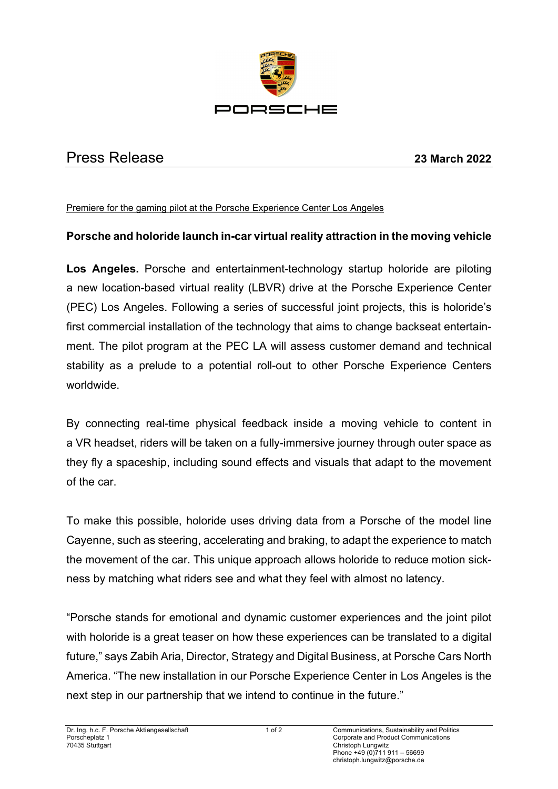

## Press Release **23 March 2022**

Premiere for the gaming pilot at the Porsche Experience Center Los Angeles

## **Porsche and holoride launch in-car virtual reality attraction in the moving vehicle**

**Los Angeles.** Porsche and entertainment-technology startup holoride are piloting a new location-based virtual reality (LBVR) drive at the Porsche Experience Center (PEC) Los Angeles. Following a series of successful joint projects, this is holoride's first commercial installation of the technology that aims to change backseat entertainment. The pilot program at the PEC LA will assess customer demand and technical stability as a prelude to a potential roll-out to other Porsche Experience Centers worldwide.

By connecting real-time physical feedback inside a moving vehicle to content in a VR headset, riders will be taken on a fully-immersive journey through outer space as they fly a spaceship, including sound effects and visuals that adapt to the movement of the car.

To make this possible, holoride uses driving data from a Porsche of the model line Cayenne, such as steering, accelerating and braking, to adapt the experience to match the movement of the car. This unique approach allows holoride to reduce motion sickness by matching what riders see and what they feel with almost no latency.

"Porsche stands for emotional and dynamic customer experiences and the joint pilot with holoride is a great teaser on how these experiences can be translated to a digital future," says Zabih Aria, Director, Strategy and Digital Business, at Porsche Cars North America. "The new installation in our Porsche Experience Center in Los Angeles is the next step in our partnership that we intend to continue in the future."